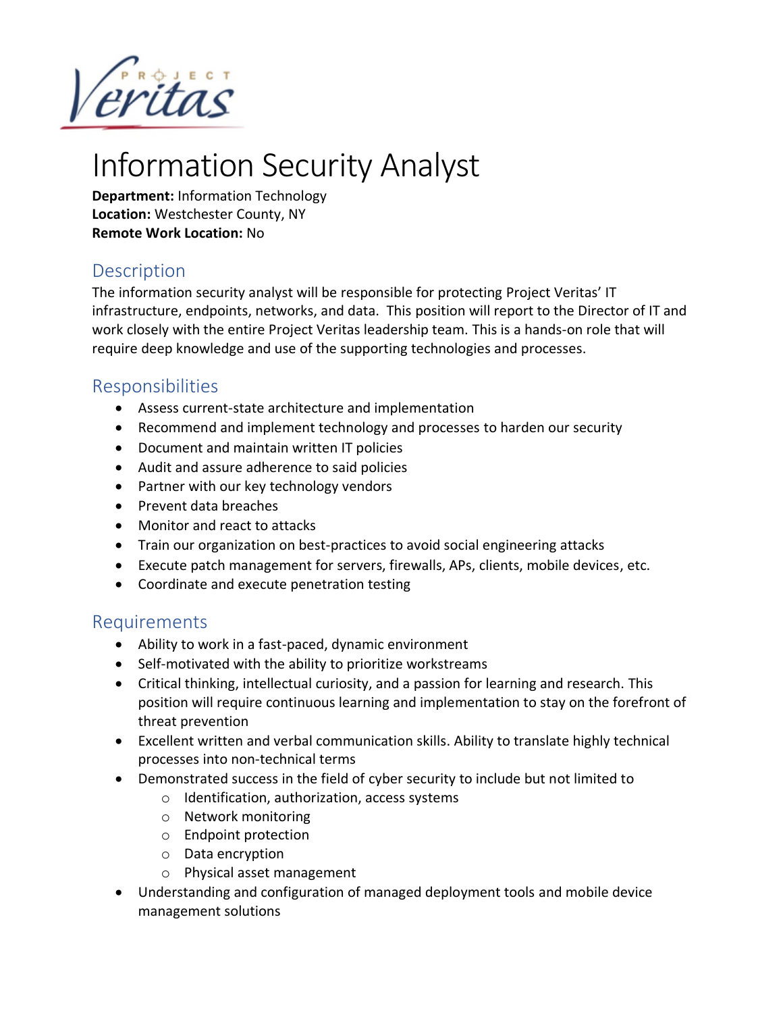

# Information Security Analyst

**Department:** Information Technology **Location:** Westchester County, NY **Remote Work Location:** No

### **Description**

The information security analyst will be responsible for protecting Project Veritas' IT infrastructure, endpoints, networks, and data. This position will report to the Director of IT and work closely with the entire Project Veritas leadership team. This is a hands-on role that will require deep knowledge and use of the supporting technologies and processes.

### Responsibilities

- Assess current-state architecture and implementation
- Recommend and implement technology and processes to harden our security
- Document and maintain written IT policies
- Audit and assure adherence to said policies
- Partner with our key technology vendors
- Prevent data breaches
- Monitor and react to attacks
- Train our organization on best-practices to avoid social engineering attacks
- Execute patch management for servers, firewalls, APs, clients, mobile devices, etc.
- Coordinate and execute penetration testing

#### Requirements

- Ability to work in a fast-paced, dynamic environment
- Self-motivated with the ability to prioritize workstreams
- Critical thinking, intellectual curiosity, and a passion for learning and research. This position will require continuous learning and implementation to stay on the forefront of threat prevention
- Excellent written and verbal communication skills. Ability to translate highly technical processes into non-technical terms
- Demonstrated success in the field of cyber security to include but not limited to
	- o Identification, authorization, access systems
	- o Network monitoring
	- o Endpoint protection
	- o Data encryption
	- o Physical asset management
- Understanding and configuration of managed deployment tools and mobile device management solutions